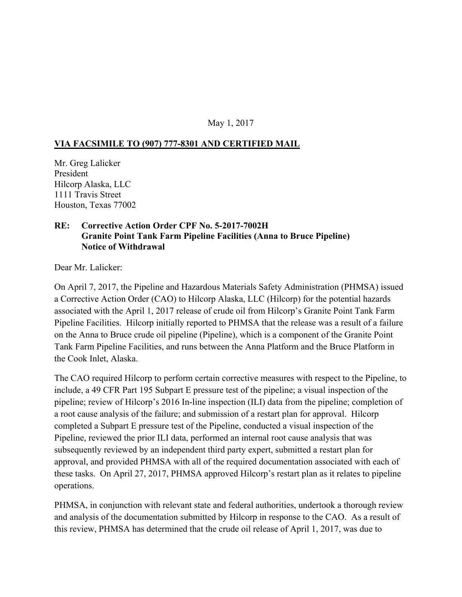## May 1, 2017

## **VIA FACSIMILE TO (907) 777-8301 AND CERTIFIED MAIL**

Mr. Greg Lalicker President Hilcorp Alaska, LLC 1111 Travis Street Houston, Texas 77002

## **RE: Corrective Action Order CPF No. 5-2017-7002H Granite Point Tank Farm Pipeline Facilities (Anna to Bruce Pipeline) Notice of Withdrawal**

Dear Mr. Lalicker:

On April 7, 2017, the Pipeline and Hazardous Materials Safety Administration (PHMSA) issued a Corrective Action Order (CAO) to Hilcorp Alaska, LLC (Hilcorp) for the potential hazards associated with the April 1, 2017 release of crude oil from Hilcorp's Granite Point Tank Farm Pipeline Facilities. Hilcorp initially reported to PHMSA that the release was a result of a failure on the Anna to Bruce crude oil pipeline (Pipeline), which is a component of the Granite Point Tank Farm Pipeline Facilities, and runs between the Anna Platform and the Bruce Platform in the Cook Inlet, Alaska.

The CAO required Hilcorp to perform certain corrective measures with respect to the Pipeline, to include, a 49 CFR Part 195 Subpart E pressure test of the pipeline; a visual inspection of the pipeline; review of Hilcorp's 2016 In-line inspection (ILI) data from the pipeline; completion of a root cause analysis of the failure; and submission of a restart plan for approval. Hilcorp completed a Subpart E pressure test of the Pipeline, conducted a visual inspection of the Pipeline, reviewed the prior ILI data, performed an internal root cause analysis that was subsequently reviewed by an independent third party expert, submitted a restart plan for approval, and provided PHMSA with all of the required documentation associated with each of these tasks. On April 27, 2017, PHMSA approved Hilcorp's restart plan as it relates to pipeline operations.

PHMSA, in conjunction with relevant state and federal authorities, undertook a thorough review and analysis of the documentation submitted by Hilcorp in response to the CAO. As a result of this review, PHMSA has determined that the crude oil release of April 1, 2017, was due to